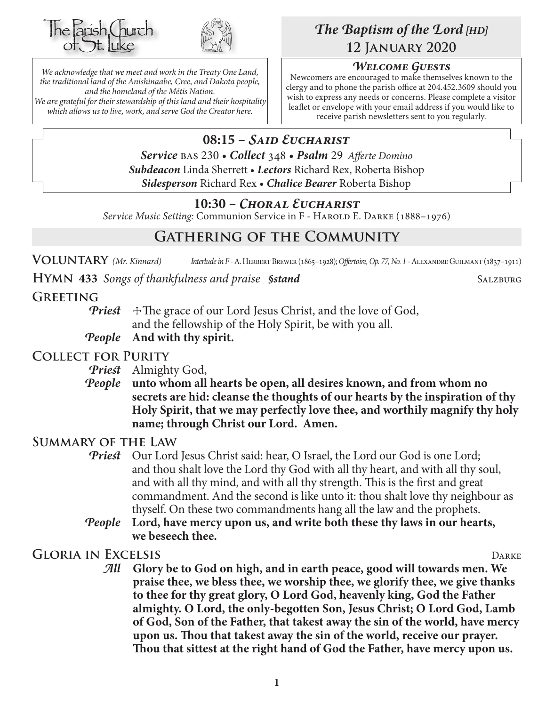



*We acknowledge that we meet and work in the Treaty One Land, the traditional land of the Anishinaabe, Cree, and Dakota people, and the homeland of the Métis Nation. We are grateful for their stewardship of this land and their hospitality which allows us to live, work, and serve God the Creator here.*

# *The Baptism of the Lord [HD]* **12 January 2020**

## *Welcome Guests*

Newcomers are encouraged to make themselves known to the clergy and to phone the parish office at 204.452.3609 should you wish to express any needs or concerns. Please complete a visitor leaflet or envelope with your email address if you would like to receive parish newsletters sent to you regularly.

# **08:15 –** *Said Eucharist*

*Service* bas 230 • *Collect* 348 • *Psalm* 29 *Afferte Domino Subdeacon* Linda Sherrett • *Lectors* Richard Rex, Roberta Bishop *Sidesperson* Richard Rex • *Chalice Bearer* Roberta Bishop

## **10:30 –** *Choral Eucharist*

*Service Music Setting: Communion Service in F - HAROLD E. DARKE* (1888–1976)

# **Gathering of the Community**

**Voluntary** *(Mr. Kinnard) Interlude in F -* A. Herbert Brewer (1865–1928); *Offertoire, Op. 77, No. 1* - Alexandre Guilmant (1837–1911)

**HYMN** 433 *Songs of thankfulness and praise §stand* SALZBURG

## **Greeting**

**Priest**  $\pm$ The grace of our Lord Jesus Christ, and the love of God, and the fellowship of the Holy Spirit, be with you all.

*People* **And with thy spirit.**

## **Collect for Purity**

- *Priest* Almighty God,
- *People* **unto whom all hearts be open, all desires known, and from whom no secrets are hid: cleanse the thoughts of our hearts by the inspiration of thy Holy Spirit, that we may perfectly love thee, and worthily magnify thy holy name; through Christ our Lord. Amen.**

## **Summary of the Law**

- **Priest** Our Lord Jesus Christ said: hear, O Israel, the Lord our God is one Lord; and thou shalt love the Lord thy God with all thy heart, and with all thy soul, and with all thy mind, and with all thy strength. This is the first and great commandment. And the second is like unto it: thou shalt love thy neighbour as thyself. On these two commandments hang all the law and the prophets.
- *People* **Lord, have mercy upon us, and write both these thy laws in our hearts, we beseech thee.**

## **Gloria in Excelsis** Darke

*All* **Glory be to God on high, and in earth peace, good will towards men. We praise thee, we bless thee, we worship thee, we glorify thee, we give thanks to thee for thy great glory, O Lord God, heavenly king, God the Father almighty. O Lord, the only-begotten Son, Jesus Christ; O Lord God, Lamb of God, Son of the Father, that takest away the sin of the world, have mercy upon us. Thou that takest away the sin of the world, receive our prayer. Thou that sittest at the right hand of God the Father, have mercy upon us.**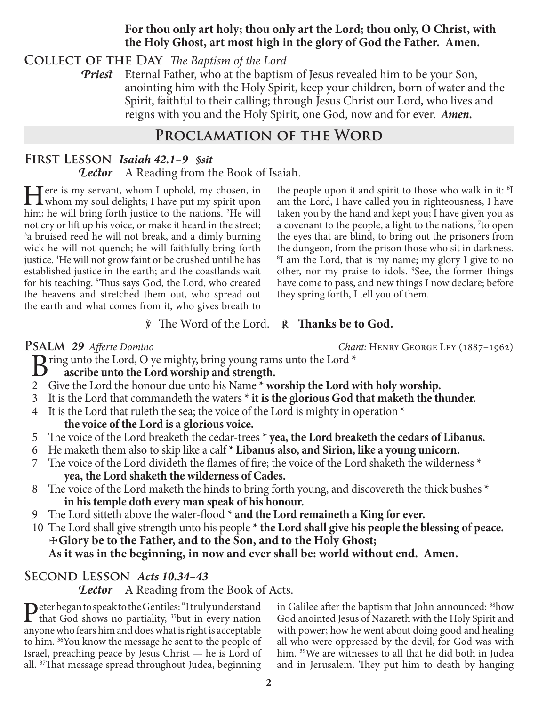#### **For thou only art holy; thou only art the Lord; thou only, O Christ, with the Holy Ghost, art most high in the glory of God the Father. Amen.**

**Collect of the Day** *The Baptism of the Lord*

*Priest* Eternal Father, who at the baptism of Jesus revealed him to be your Son, anointing him with the Holy Spirit, keep your children, born of water and the Spirit, faithful to their calling; through Jesus Christ our Lord, who lives and reigns with you and the Holy Spirit, one God, now and for ever.*Amen.*

# **Proclamation of the Word**

# **First Lesson** *Isaiah 42.1–9 §sit Lector* A Reading from the Book of Isaiah.

Here is my servant, whom I uphold, my chosen, in<br>whom my soul delights; I have put my spirit upon<br>him he will have forth institute to the nations <sup>21</sup>him; he will bring forth justice to the nations. <sup>2</sup>He will not cry or lift up his voice, or make it heard in the street; <sup>3</sup>a bruised reed he will not break, and a dimly burning wick he will not quench; he will faithfully bring forth justice. 4 He will not grow faint or be crushed until he has established justice in the earth; and the coastlands wait for his teaching. <sup>5</sup>Thus says God, the Lord, who created the heavens and stretched them out, who spread out the earth and what comes from it, who gives breath to

the people upon it and spirit to those who walk in it: <sup>6</sup>I am the Lord, I have called you in righteousness, I have taken you by the hand and kept you; I have given you as a covenant to the people, a light to the nations, 7 to open the eyes that are blind, to bring out the prisoners from the dungeon, from the prison those who sit in darkness. 8 I am the Lord, that is my name; my glory I give to no other, nor my praise to idols. <sup>9</sup>See, the former things have come to pass, and new things I now declare; before they spring forth, I tell you of them.

## ℣ The Word of the Lord. ℟ **Thanks be to God.**

**Psalm** *29 Afferte Domino Chant:* Henry George Ley (1887–1962)

**B**ring unto the Lord, O ye mighty, bring young rams unto the Lord \*<br>ascribe unto the Lord worship and strength.

- **ascribe unto the Lord worship and strength.**
- 2 Give the Lord the honour due unto his Name **\* worship the Lord with holy worship.**
- 3 It is the Lord that commandeth the waters **\* it is the glorious God that maketh the thunder.**
- 4 It is the Lord that ruleth the sea; the voice of the Lord is mighty in operation **\* the voice of the Lord is a glorious voice.**
- 5 The voice of the Lord breaketh the cedar-trees **\* yea, the Lord breaketh the cedars of Libanus.**
- 6 He maketh them also to skip like a calf **\* Libanus also, and Sirion, like a young unicorn.**
- 7 The voice of the Lord divideth the flames of fire; the voice of the Lord shaketh the wilderness **\* yea, the Lord shaketh the wilderness of Cades.**
- 8 The voice of the Lord maketh the hinds to bring forth young, and discovereth the thick bushes **\* in his temple doth every man speak of his honour.**
- 9 The Lord sitteth above the water-flood **\* and the Lord remaineth a King for ever.**
- 10 The Lord shall give strength unto his people **\* the Lord shall give his people the blessing of peace.** ☩**Glory be to the Father, and to the Son, and to the Holy Ghost; As it was in the beginning, in now and ever shall be: world without end. Amen.**

## **Second Lesson** *Acts 10.34–43*

**Lector** A Reading from the Book of Acts.

Peter began to speak to the Gentiles: "I truly understand<br>that God shows no partiality, <sup>35</sup>but in every nation<br>any nation contribution and describition is this acceptable anyone who fears him and does what is right is acceptable to him. 36You know the message he sent to the people of Israel, preaching peace by Jesus Christ — he is Lord of all. 37That message spread throughout Judea, beginning

in Galilee after the baptism that John announced: 38how God anointed Jesus of Nazareth with the Holy Spirit and with power; how he went about doing good and healing all who were oppressed by the devil, for God was with him. 39We are witnesses to all that he did both in Judea and in Jerusalem. They put him to death by hanging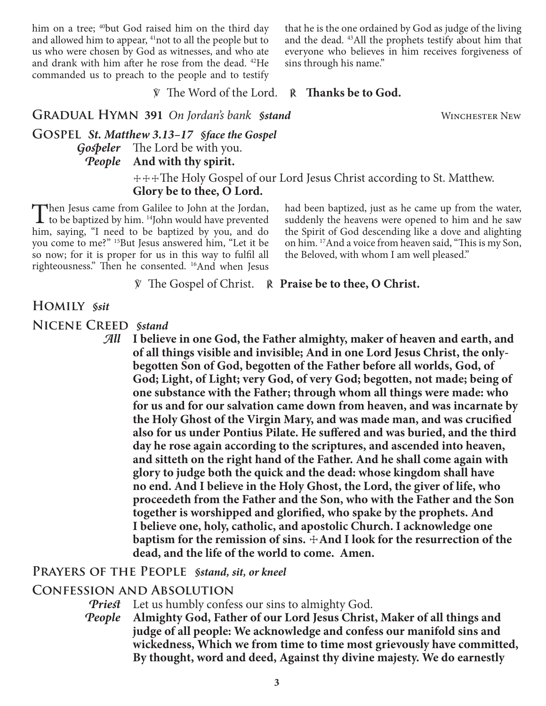him on a tree; <sup>40</sup>but God raised him on the third day and allowed him to appear, <sup>41</sup>not to all the people but to us who were chosen by God as witnesses, and who ate and drank with him after he rose from the dead. 42He commanded us to preach to the people and to testify that he is the one ordained by God as judge of the living and the dead. 43All the prophets testify about him that everyone who believes in him receives forgiveness of sins through his name."

℣ The Word of the Lord. ℟ **Thanks be to God.**

**GRADUAL HYMN 391** On Jordan's bank *§stand* WINCHESTER NEW

**Gospel** *St. Matthew 3.13–17 §face the Gospel Gospeler* The Lord be with you. *People* **And with thy spirit.**

> ☩☩☩The Holy Gospel of our Lord Jesus Christ according to St. Matthew. **Glory be to thee, O Lord.**

Then Jesus came from Galilee to John at the Jordan,<br>to be baptized by him. <sup>14</sup>John would have prevented<br>him. engine ...<sup>6</sup>L gand, to be harting has now and day him, saying, "I need to be baptized by you, and do you come to me?" 15But Jesus answered him, "Let it be so now; for it is proper for us in this way to fulfil all righteousness." Then he consented. 16And when Jesus

had been baptized, just as he came up from the water, suddenly the heavens were opened to him and he saw the Spirit of God descending like a dove and alighting on him. 17And a voice from heaven said, "This is my Son, the Beloved, with whom I am well pleased."

℣ The Gospel of Christ. ℟ **Praise be to thee, O Christ.**

#### **Homily** *§sit*

**Nicene Creed** *§stand*

*All* **I believe in one God, the Father almighty, maker of heaven and earth, and of all things visible and invisible; And in one Lord Jesus Christ, the onlybegotten Son of God, begotten of the Father before all worlds, God, of God; Light, of Light; very God, of very God; begotten, not made; being of one substance with the Father; through whom all things were made: who for us and for our salvation came down from heaven, and was incarnate by the Holy Ghost of the Virgin Mary, and was made man, and was crucified also for us under Pontius Pilate. He suffered and was buried, and the third day he rose again according to the scriptures, and ascended into heaven, and sitteth on the right hand of the Father. And he shall come again with glory to judge both the quick and the dead: whose kingdom shall have no end. And I believe in the Holy Ghost, the Lord, the giver of life, who proceedeth from the Father and the Son, who with the Father and the Son together is worshipped and glorified, who spake by the prophets. And I believe one, holy, catholic, and apostolic Church. I acknowledge one**  baptism for the remission of sins.  $\pm$ And I look for the resurrection of the **dead, and the life of the world to come. Amen.**

#### **Prayers of the People** *§stand, sit, or kneel*

#### **Confession and Absolution**

*Priest* Let us humbly confess our sins to almighty God.

*People* **Almighty God, Father of our Lord Jesus Christ, Maker of all things and judge of all people: We acknowledge and confess our manifold sins and wickedness, Which we from time to time most grievously have committed, By thought, word and deed, Against thy divine majesty. We do earnestly**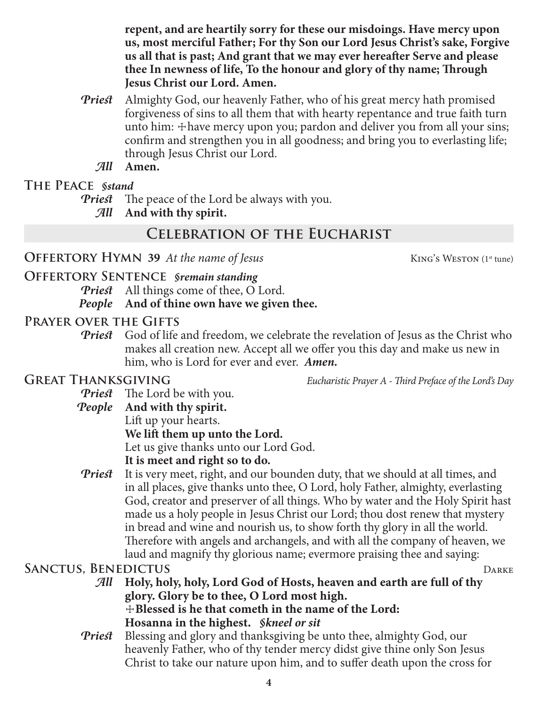**repent, and are heartily sorry for these our misdoings. Have mercy upon us, most merciful Father; For thy Son our Lord Jesus Christ's sake, Forgive us all that is past; And grant that we may ever hereafter Serve and please thee In newness of life, To the honour and glory of thy name; Through Jesus Christ our Lord. Amen.**

- *Priest* Almighty God, our heavenly Father, who of his great mercy hath promised forgiveness of sins to all them that with hearty repentance and true faith turn unto him:  $\pm$  have mercy upon you; pardon and deliver you from all your sins; confirm and strengthen you in all goodness; and bring you to everlasting life; through Jesus Christ our Lord.
	- *All* **Amen.**

## **The Peace** *§stand*

*Priest* The peace of the Lord be always with you.

*All* **And with thy spirit.**

# **Celebration of the Eucharist**

## **OFFERTORY HYMN 39** At the name of Jesus KING's WESTON (1st tune)

**Offertory Sentence** *§remain standing Priest* All things come of thee, O Lord.

## *People* **And of thine own have we given thee.**

## **Prayer over the Gifts**

*Priest* God of life and freedom, we celebrate the revelation of Jesus as the Christ who makes all creation new. Accept all we offer you this day and make us new in him, who is Lord for ever and ever. *Amen.*

**GREAT THANKSGIVING** *Eucharistic Prayer A - Third Preface of the Lord's Day* 

*Priest* The Lord be with you. *People* **And with thy spirit.** Lift up your hearts. **We lift them up unto the Lord.**

Let us give thanks unto our Lord God.

## **It is meet and right so to do.**

*Priest* It is very meet, right, and our bounden duty, that we should at all times, and in all places, give thanks unto thee, O Lord, holy Father, almighty, everlasting God, creator and preserver of all things. Who by water and the Holy Spirit hast made us a holy people in Jesus Christ our Lord; thou dost renew that mystery in bread and wine and nourish us, to show forth thy glory in all the world. Therefore with angels and archangels, and with all the company of heaven, we laud and magnify thy glorious name; evermore praising thee and saying:

## **SANCTUS, BENEDICTUS** DARKE

*All* **Holy, holy, holy, Lord God of Hosts, heaven and earth are full of thy glory. Glory be to thee, O Lord most high.** ☩**Blessed is he that cometh in the name of the Lord: Hosanna in the highest.** *§kneel or sit*

*Priest* Blessing and glory and thanksgiving be unto thee, almighty God, our heavenly Father, who of thy tender mercy didst give thine only Son Jesus Christ to take our nature upon him, and to suffer death upon the cross for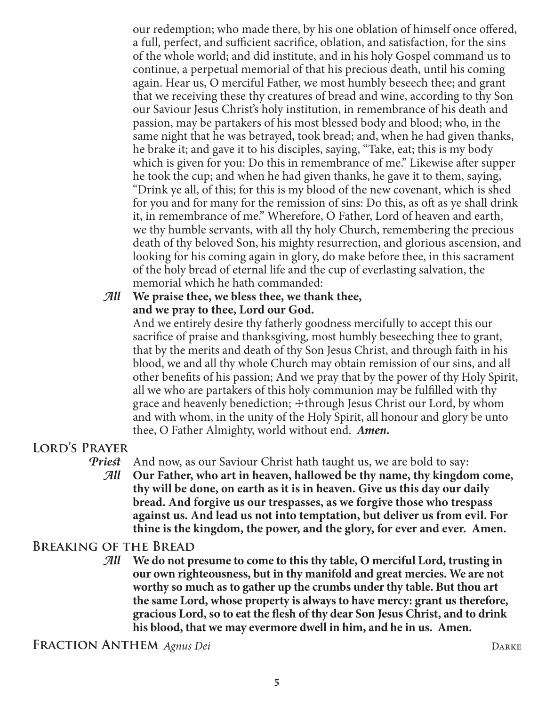our redemption; who made there, by his one oblation of himself once offered, a full, perfect, and sufficient sacrifice, oblation, and satisfaction, for the sins of the whole world; and did institute, and in his holy Gospel command us to continue, a perpetual memorial of that his precious death, until his coming again. Hear us, O merciful Father, we most humbly beseech thee; and grant that we receiving these thy creatures of bread and wine, according to thy Son our Saviour Jesus Christ's holy institution, in remembrance of his death and passion, may be partakers of his most blessed body and blood; who, in the same night that he was betrayed, took bread; and, when he had given thanks, he brake it; and gave it to his disciples, saying, "Take, eat; this is my body which is given for you: Do this in remembrance of me." Likewise after supper he took the cup; and when he had given thanks, he gave it to them, saying, "Drink ye all, of this; for this is my blood of the new covenant, which is shed for you and for many for the remission of sins: Do this, as oft as ye shall drink it, in remembrance of me." Wherefore, O Father, Lord of heaven and earth, we thy humble servants, with all thy holy Church, remembering the precious death of thy beloved Son, his mighty resurrection, and glorious ascension, and looking for his coming again in glory, do make before thee, in this sacrament of the holy bread of eternal life and the cup of everlasting salvation, the memorial which he hath commanded:

## *All* **We praise thee, we bless thee, we thank thee, and we pray to thee, Lord our God.**

 And we entirely desire thy fatherly goodness mercifully to accept this our sacrifice of praise and thanksgiving, most humbly beseeching thee to grant, that by the merits and death of thy Son Jesus Christ, and through faith in his blood, we and all thy whole Church may obtain remission of our sins, and all other benefits of his passion; And we pray that by the power of thy Holy Spirit, all we who are partakers of this holy communion may be fulfilled with thy grace and heavenly benediction;  $\pm$ through Jesus Christ our Lord, by whom and with whom, in the unity of the Holy Spirit, all honour and glory be unto thee, O Father Almighty, world without end. *Amen.*

# **Lord's Prayer**

*Priest* And now, as our Saviour Christ hath taught us, we are bold to say:

*All* **Our Father, who art in heaven, hallowed be thy name, thy kingdom come, thy will be done, on earth as it is in heaven. Give us this day our daily bread. And forgive us our trespasses, as we forgive those who trespass against us. And lead us not into temptation, but deliver us from evil. For thine is the kingdom, the power, and the glory, for ever and ever. Amen.**

# **Breaking of the Bread**

*All* **We do not presume to come to this thy table, O merciful Lord, trusting in our own righteousness, but in thy manifold and great mercies. We are not worthy so much as to gather up the crumbs under thy table. But thou art the same Lord, whose property is always to have mercy: grant us therefore, gracious Lord, so to eat the flesh of thy dear Son Jesus Christ, and to drink his blood, that we may evermore dwell in him, and he in us. Amen.**

**Fraction Anthem** *Agnus Dei* Darke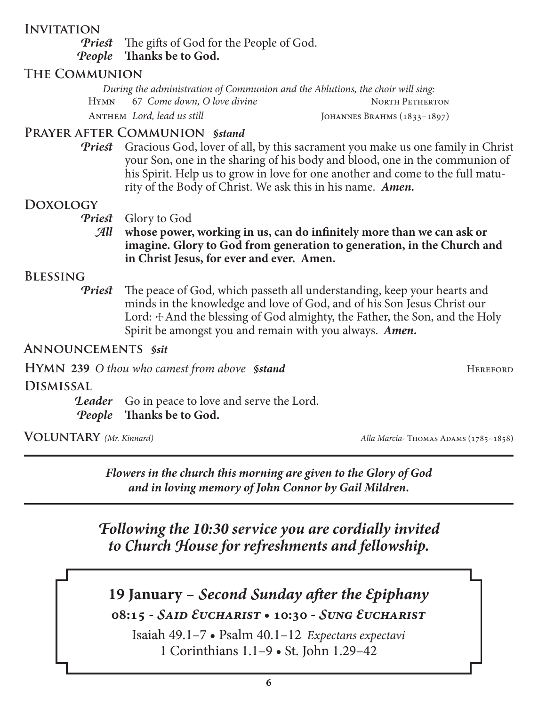## **Invitation**

*Priest* The gifts of God for the People of God. *People* **Thanks be to God.**

### **The Communion**

*During the administration of Communion and the Ablutions, the choir will sing:* HYMN 67 *Come down, O love divine* NORTH PETHERTON ANTHEM *Lord, lead us still* JOHANNES BRAHMS (1833-1897)

## **Prayer after Communion** *§stand*

*Priest* Gracious God, lover of all, by this sacrament you make us one family in Christ your Son, one in the sharing of his body and blood, one in the communion of his Spirit. Help us to grow in love for one another and come to the full maturity of the Body of Christ. We ask this in his name. *Amen.*

#### **Doxology**

*Priest* Glory to God

*All* **whose power, working in us, can do infinitely more than we can ask or imagine. Glory to God from generation to generation, in the Church and in Christ Jesus, for ever and ever. Amen.**

#### **Blessing**

*Priest* The peace of God, which passeth all understanding, keep your hearts and minds in the knowledge and love of God, and of his Son Jesus Christ our Lord:  $\pm$ And the blessing of God almighty, the Father, the Son, and the Holy Spirit be amongst you and remain with you always. *Amen.*

#### **Announcements** *§sit*

**HYMN** 239 O thou who camest from above *§stand* HEREFORD

**Dismissal**

**Leader** Go in peace to love and serve the Lord. *People* **Thanks be to God.**

**Voluntary** *(Mr. Kinnard) Alla Marcia-* Thomas Adams (1785–1858)

*Flowers in the church this morning are given to the Glory of God and in loving memory of John Connor by Gail Mildren.*

*Following the 10:30 service you are cordially invited to Church House for refreshments and fellowship.*

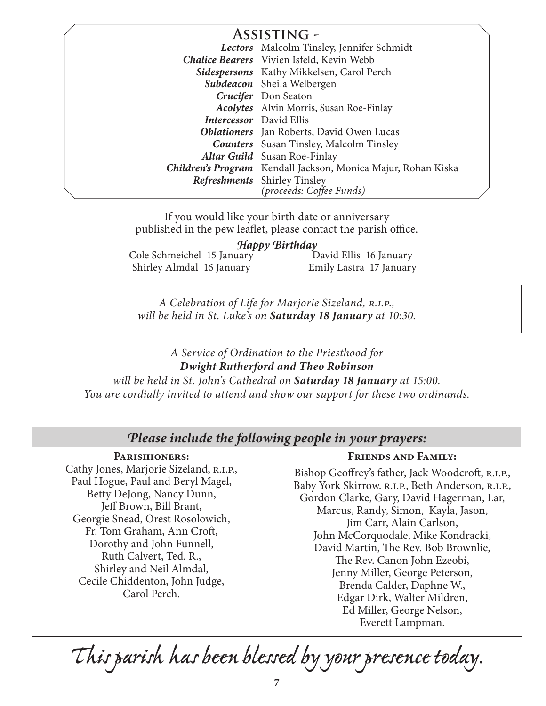| <b>ASSISTING -</b> |                                                               |
|--------------------|---------------------------------------------------------------|
|                    | Lectors Malcolm Tinsley, Jennifer Schmidt                     |
|                    | <b>Chalice Bearers</b> Vivien Isfeld, Kevin Webb              |
|                    | Sidespersons Kathy Mikkelsen, Carol Perch                     |
|                    | Subdeacon Sheila Welbergen                                    |
|                    | Crucifer Don Seaton                                           |
|                    | <b>Acolytes</b> Alvin Morris, Susan Roe-Finlay                |
|                    | <b>Intercessor</b> David Ellis                                |
|                    | <b>Oblationers</b> Jan Roberts, David Owen Lucas              |
|                    | <b>Counters</b> Susan Tinsley, Malcolm Tinsley                |
|                    | Altar Guild Susan Roe-Finlay                                  |
|                    | Children's Program Kendall Jackson, Monica Majur, Rohan Kiska |
|                    | <b>Refreshments</b> Shirley Tinsley                           |
|                    | (proceeds: Coffee Funds)                                      |

If you would like your birth date or anniversary published in the pew leaflet, please contact the parish office.

#### *Happy Birthday*

Cole Schmeichel 15 January Shirley Almdal 16 January David Ellis 16 January Emily Lastra 17 January

*A Celebration of Life for Marjorie Sizeland, r.i.p., will be held in St. Luke's on Saturday 18 January at 10:30.*

#### *A Service of Ordination to the Priesthood for Dwight Rutherford and Theo Robinson*

*will be held in St. John's Cathedral on Saturday 18 January at 15:00. You are cordially invited to attend and show our support for these two ordinands.*

## *Please include the following people in your prayers:*

#### **Parishioners:**

Cathy Jones, Marjorie Sizeland, R.I.P., Paul Hogue, Paul and Beryl Magel, Betty DeJong, Nancy Dunn, Jeff Brown, Bill Brant, Georgie Snead, Orest Rosolowich, Fr. Tom Graham, Ann Croft, Dorothy and John Funnell, Ruth Calvert, Ted. R., Shirley and Neil Almdal, Cecile Chiddenton, John Judge, Carol Perch.

#### **Friends and Family:**

Bishop Geoffrey's father, Jack Woodcroft, R.I.P., Baby York Skirrow. R.I.P., Beth Anderson, R.I.P., Gordon Clarke, Gary, David Hagerman, Lar, Marcus, Randy, Simon, Kayla, Jason, Jim Carr, Alain Carlson, John McCorquodale, Mike Kondracki, David Martin, The Rev. Bob Brownlie, The Rev. Canon John Ezeobi, Jenny Miller, George Peterson, Brenda Calder, Daphne W., Edgar Dirk, Walter Mildren, Ed Miller, George Nelson, Everett Lampman.

*This parish has been blessed by your presence today.*